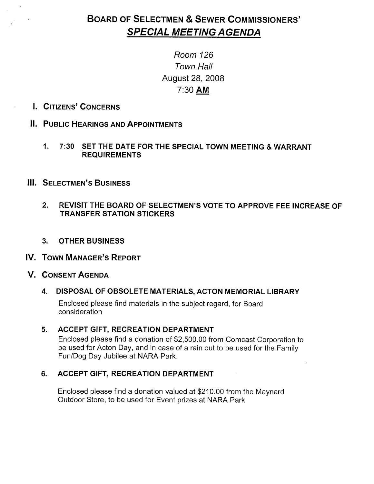# BOARD OF SELECTMEN & SEWER COMMISSIONERS' SPECIAL MEETING AGENDA

# Room 126 Town Hall August 28, 2008 7:30 AM

- I. CITIZENS' CONCERNS
- II. PUBLIC HEARINGS AND APPOINTMENTS
	- 1. 7:30 SET THE DATE FOR THE SPECIAL TOWN MEETING & WARRANT REQUIREMENTS
- **III. SELECTMEN'S BUSINESS** 
	- 2. REVISIT THE BOARD OF SELECTMEN'S VOTE TO APPROVE FEE INCREASE OF TRANSFER STATION STICKERS
	- 3. OTHER BUSINESS

## IV. TOWN MANAGER'S REPORT

## V. CONSENT AGENDA

## 4. DISPOSAL OF OBSOLETE MATERIALS, ACTON MEMORIAL LIBRARY

Enclosed please find materials in the subject regard, for Board consideration

## 5. ACCEPT GIFT, RECREATION DEPARTMENT

Enclosed please find a donation of \$2,500.00 from Comcast Corporation to be used for Acton Day, and in case of a rain out to be used for the Family Fun/Dog Day Jubilee at NARA Park.

## 6. ACCEPT GIFT, RECREATION DEPARTMENT

Enclosed please find a donation valued at \$210.00 from the Maynard Outdoor Store, to be used for Event prizes at NARA Park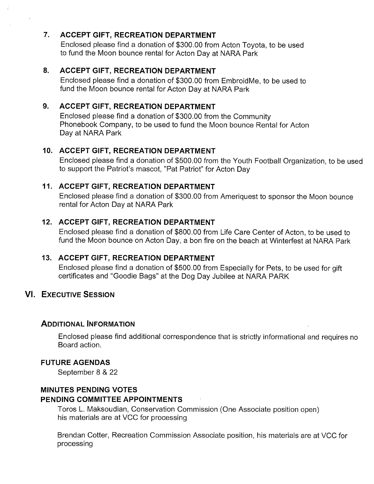## 7. ACCEPT GIFT, RECREATION DEPARTMENT

Enclosed please find a donation of \$300.00 from Acton Toyota, to be used to fund the Moon bounce rental for Acton Day at NARA Park

## 8. ACCEPT GIFT, RECREATION DEPARTMENT

Enclosed please find a donation of \$300.00 from EmbroidMe, to be used to fund the Moon bounce rental for Acton Day at NARA Park

## 9. ACCEPT GIFT, RECREATION DEPARTMENT

Enclosed please find a donation of \$300.00 from the Community Phonebook Company, to be used to fund the Moon bounce Rental for Acton Day at NARA Park

## 10. ACCEPT GIFT, RECREATION DEPARTMENT

Enclosed please find a donation of \$500.00 from the Youth Football Organization, to be used to support the Patriot's mascot, "Pat Patriot" for Acton Day

## 11. ACCEPT GIFT, RECREATION DEPARTMENT

Enclosed please find a donation of \$300.00 from Ameriquest to sponsor the Moon bounce rental for Acton Day at NARA Park

## 12. ACCEPT GIFT, RECREATION DEPARTMENT

Enclosed please find a donation of \$800.00 from Life Care Center of Acton, to be used to fund the Moon bounce on Acton Day, a bon fire on the beach at Winterfest at NARA Park

## 13. ACCEPT GIFT, RECREATION DEPARTMENT

Enclosed please find a donation of \$500.00 from Especially for Pets, to be used for gift certificates and "Goodie Bags" at the Dog Day Jubilee at NARA PARK

## VI. EXECUTIVE SESSION

## ADDITIONAL INFORMATION

Enclosed please find additional correspondence that is strictly informational and requires no Board action.

## FUTURE AGENDAS

September 8 & 22

#### MINUTES PENDING VOTES PENDING COMMITTEE APPOINTMENTS

Toros L. Maksoudian, Conservation Commission (One Associate position open) his materials are at VCC for processing

Brendan Cotter, Recreation Commission Associate position, his materials are at VCC for processing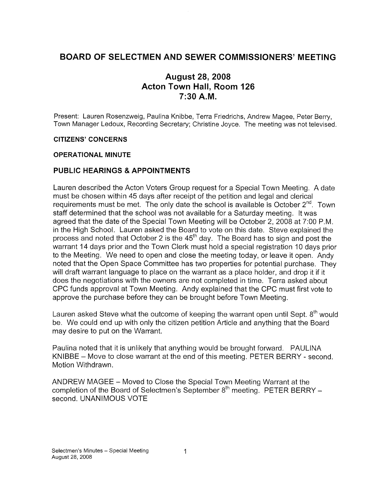## BOARD OF SELECTMEN AND SEWER COMMISSIONERS' MEETING

## August 28, 2008 Acton Town Hall, Room 126  $7:30$  A.M.

Present: Lauren Rosenzweig, Paulina Knibbe, Terra Friedrichs, Andrew Magee, Peter Berry, Town Manager Ledoux, Recording Secretary; Christine Joyce. The meeting was not televised.

#### CITIZENS' CONCERNS

#### OPERATIONAL MINUTE

## PUBLIC HEARINGS & APPOINTMENTS

Lauren described the Acton Voters Group request for a Special Town Meeting. A date must be chosen within 45 days after receipt of the petition and legal and clerical requirements must be met. The only date the school is available is October  $2^{nd}$ . Town staff determined that the school was not available for a Saturday meeting. It was agreed that the date of the Special Town Meeting will be October 2, 2008 at 7:00 P.M. in the High School. Lauren asked the Board to vote on this date. Steve explained the process and noted that October 2 is the 45<sup>th</sup> day. The Board has to sign and post the warrant 14 days prior and the Town Clerk must hold a special registration 10 days prior to the Meeting. We need to open and close the meeting today, or leave it open, Andy noted that the Open Space Committee has two properties for potential purchase. They will draft warrant language to place on the warrant as a place holder, and drop it if it does the negotiations with the owners are not completed in time. Terra asked about CPC funds approval at Town Meeting. Andy explained that the CPC must first vote to approve the purchase before they can be brought before Town Meeting.

Lauren asked Steve what the outcome of keeping the warrant open until Sept.  $8<sup>th</sup>$  would be. We could end up with only the citizen petition Article and anything that the Board may desire to put on the Warrant.

Paulina noted that it is unlikely that anything would be brought forward. PAULINA KNIBBE – Move to close warrant at the end of this meeting. PETER BERRY - second. Motion Withdrawn.

ANDREW MAGEE — Moved to Close the Special Town Meeting Warrant at the completion of the Board of Selectmen's September  $8<sup>th</sup>$  meeting. PETER BERRY – second. UNANIMOUS VOTE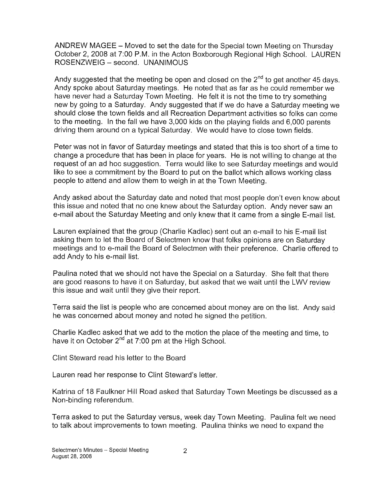ANDREW MAGEE — Moved to set the date for the Special town Meeting on Thursday October 2, 2008 at 7:00 P.M. in the Acton Boxborough Regional High School. LAUREN ROSENZWEIG — second. UNANIMOUS

Andy suggested that the meeting be open and closed on the  $2<sup>nd</sup>$  to get another 45 days. Andy spoke about Saturday meetings. He noted that as far as he could remember we have never had a Saturday Town Meeting. He felt it is not the time to try something new by going to a Saturday. Andy suggested that if we do have a Saturday meeting we should close the town fields and all Recreation Department activities so folks can come to the meeting. In the fall we have 3,000 kids on the playing fields and 6,000 parents driving them around on a typical Saturday. We would have to close town fields.

Peter was not in favor of Saturday meetings and stated that this is too short of a time to change a procedure that has been in place for years. He is not willing to change at the request of an ad hoc suggestion. Terra would like to see Saturday meetings and would like to see a commitment by the Board to put on the ballot which allows working class people to attend and allow them to weigh in at the Town Meeting.

Andy asked about the Saturday date and noted that most people don't even know about this issue and noted that no one knew about the Saturday option. Andy never saw an e-mail about the Saturday Meeting and only knew that it came from a single E-mail list.

Lauren explained that the group (Charlie Kadlec) sent out an e-mail to his E-mail list asking them to let the Board of Selectmen know that folks opinions are on Saturday meetings and to e-mail the Board of Selectmen with their preference. Charlie offered to add Andy to his e-mail list.

Paulina noted that we should not have the Special on a Saturday. She felt that there are good reasons to have it on Saturday, but asked that we wait until the LWV review this issue and wait until they give their report.

Terra said the list is people who are concerned about money are on the list. Andy said he was concerned about money and noted he signed the petition.

Charlie Kadlec asked that we add to the motion the place of the meeting and time, to have it on October  $2^{nd}$  at 7:00 pm at the High School.

Clint Steward read his letter to the Board

Lauren read her response to Clint Steward's letter.

Katrina of 18 Faulkner Hill Road asked that Saturday Town Meetings be discussed as a Non-binding referendum.

Terra asked to put the Saturday versus, week day Town Meeting. Paulina felt we need to talk about improvements to town meeting. Paulina thinks we need to expand the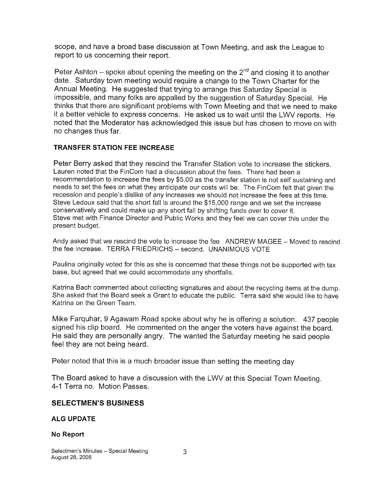scope, and have a broad base discussion at Town Meeting, and ask the League to report to us concerning their report.

Peter Ashton – spoke about opening the meeting on the  $2<sup>nd</sup>$  and closing it to another date. Saturday town meeting would require a change to the Town Charter for the Annual Meeting. He suggested that trying to arrange this Saturday Special is impossible, and many folks are appalled by the suggestion of Saturday Special. He thinks that there are significant problems with Town Meeting and that we need to make it a better vehicle to express concerns. He asked us to wait until the LWV reports. He noted that the Moderator has acknowledged this issue but has chosen to move on with no changes thus far.

## TRANSFER STATION FEE INCREASE

Peter Berry asked that they rescind the Transfer Station vote to increase the stickers. Lauren noted that the FinCom had a discussion about the fees. There had been a recommendation to increase the fees by \$5.00 as the transfer station is not self sustaining and needs to set the fees on what they anticipate our costs will be. The FinCom felt that given the recession and people's dislike of any increases we should not increase the fees at this time. Steve Ledoux said that the short fall is around the \$15,000 range and we set the increase conservatively and could make up any short fall by shifting funds over to cover it. Steve met with Finance Director and Public Works and they feel we can cover this under the present budget.

Andy asked that we rescind the vote to increase the fee ANDREW MAGEE — Moved to rescind the fee increase. TERRA FRIEDRICHS — second. UNANIMOUS VOTE

Paulina originally voted for this as she is concerned that these things not be supported with tax base, but agreed that we could accommodate any shortfalls.

Katrina Bach commented about collecting signatures and about the recycling items at the dump. She asked that the Board seek a Grant to educate the public. Terra said she would like to have Katrina on the Green Team.

Mike Farquhar, 9 Agawam Road spoke about why he is offering a solution. 437 people signed his clip board. He commented on the anger the voters have against the board. He said they are personally angry. The wanted the Saturday meeting he said people feel they are not being heard.

Peter noted that this is a much broader issue than setting the meeting day

The Board asked to have a discussion with the LWV at this Special Town Meeting. 4-1 Terra no. Motion Passes.

#### SELECTMEN'S BUSINESS

#### ALG UPDATE

#### No Report